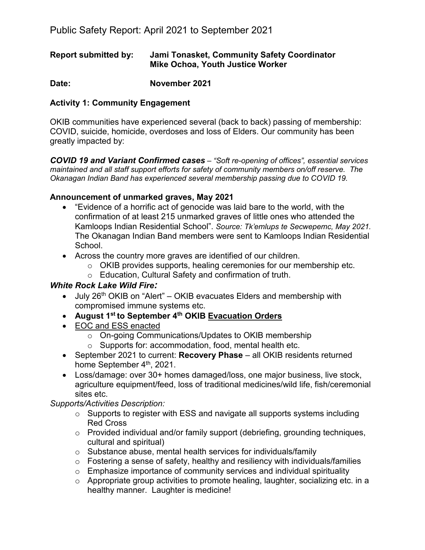## **Report submitted by: Jami Tonasket, Community Safety Coordinator Mike Ochoa, Youth Justice Worker**

**Date: November 2021** 

# **Activity 1: Community Engagement**

OKIB communities have experienced several (back to back) passing of membership: COVID, suicide, homicide, overdoses and loss of Elders. Our community has been greatly impacted by:

*COVID 19 and Variant Confirmed cases – "Soft re-opening of offices", essential services maintained and all staff support efforts for safety of community members on/off reserve. The Okanagan Indian Band has experienced several membership passing due to COVID 19.* 

## **Announcement of unmarked graves, May 2021**

- "Evidence of a horrific act of genocide was laid bare to the world, with the confirmation of at least 215 unmarked graves of little ones who attended the Kamloops Indian Residential School". *Source: Tk'emlups te Secwepemc, May 2021.* The Okanagan Indian Band members were sent to Kamloops Indian Residential School.
- Across the country more graves are identified of our children.
	- $\circ$  OKIB provides supports, healing ceremonies for our membership etc.
	- o Education, Cultural Safety and confirmation of truth.

## *White Rock Lake Wild Fire:*

- July  $26<sup>th</sup>$  OKIB on "Alert" OKIB evacuates Elders and membership with compromised immune systems etc.
- **August 1st to September 4th OKIB Evacuation Orders**
- EOC and ESS enacted
	- o On-going Communications/Updates to OKIB membership
	- o Supports for: accommodation, food, mental health etc.
- September 2021 to current: **Recovery Phase** all OKIB residents returned home September 4<sup>th</sup>, 2021.
- Loss/damage: over 30+ homes damaged/loss, one major business, live stock, agriculture equipment/feed, loss of traditional medicines/wild life, fish/ceremonial sites etc.

# *Supports/Activities Description:*

- o Supports to register with ESS and navigate all supports systems including Red Cross
- o Provided individual and/or family support (debriefing, grounding techniques, cultural and spiritual)
- o Substance abuse, mental health services for individuals/family
- $\circ$  Fostering a sense of safety, healthy and resiliency with individuals/families
- o Emphasize importance of community services and individual spirituality
- $\circ$  Appropriate group activities to promote healing, laughter, socializing etc. in a healthy manner. Laughter is medicine!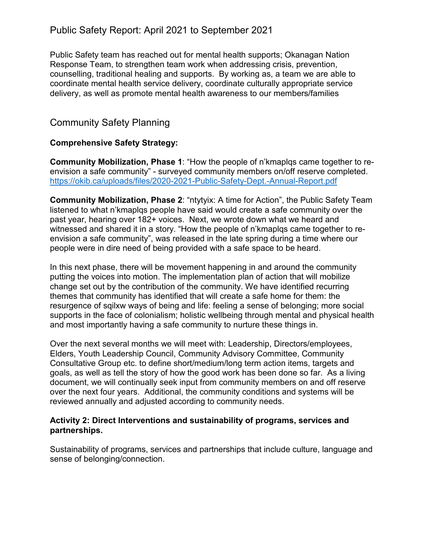# Public Safety Report: April 2021 to September 2021

Public Safety team has reached out for mental health supports; Okanagan Nation Response Team, to strengthen team work when addressing crisis, prevention, counselling, traditional healing and supports. By working as, a team we are able to coordinate mental health service delivery, coordinate culturally appropriate service delivery, as well as promote mental health awareness to our members/families

# Community Safety Planning

### **Comprehensive Safety Strategy:**

**Community Mobilization, Phase 1**: "How the people of n'kmaplqs came together to reenvision a safe community" - surveyed community members on/off reserve completed. <https://okib.ca/uploads/files/2020-2021-Public-Safety-Dept.-Annual-Report.pdf>

**Community Mobilization, Phase 2**: "ntytyix: A time for Action", the Public Safety Team listened to what n'kmaplqs people have said would create a safe community over the past year, hearing over 182+ voices. Next, we wrote down what we heard and witnessed and shared it in a story. "How the people of n'kmaplqs came together to reenvision a safe community", was released in the late spring during a time where our people were in dire need of being provided with a safe space to be heard.

In this next phase, there will be movement happening in and around the community putting the voices into motion. The implementation plan of action that will mobilize change set out by the contribution of the community. We have identified recurring themes that community has identified that will create a safe home for them: the resurgence of sqilxw ways of being and life: feeling a sense of belonging; more social supports in the face of colonialism; holistic wellbeing through mental and physical health and most importantly having a safe community to nurture these things in.

Over the next several months we will meet with: Leadership, Directors/employees, Elders, Youth Leadership Council, Community Advisory Committee, Community Consultative Group etc. to define short/medium/long term action items, targets and goals, as well as tell the story of how the good work has been done so far. As a living document, we will continually seek input from community members on and off reserve over the next four years. Additional, the community conditions and systems will be reviewed annually and adjusted according to community needs.

#### **Activity 2: Direct Interventions and sustainability of programs, services and partnerships.**

Sustainability of programs, services and partnerships that include culture, language and sense of belonging/connection.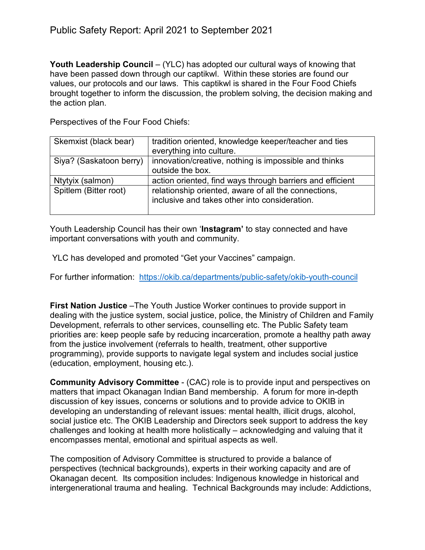**Youth Leadership Council** – (YLC) has adopted our cultural ways of knowing that have been passed down through our captikwl. Within these stories are found our values, our protocols and our laws. This captikwl is shared in the Four Food Chiefs brought together to inform the discussion, the problem solving, the decision making and the action plan.

Perspectives of the Four Food Chiefs:

| Skemxist (black bear)   | tradition oriented, knowledge keeper/teacher and ties<br>everything into culture.                     |
|-------------------------|-------------------------------------------------------------------------------------------------------|
| Siya? (Saskatoon berry) | innovation/creative, nothing is impossible and thinks<br>outside the box.                             |
| Ntytyix (salmon)        | action oriented, find ways through barriers and efficient                                             |
| Spitlem (Bitter root)   | relationship oriented, aware of all the connections,<br>inclusive and takes other into consideration. |

Youth Leadership Council has their own '**Instagram'** to stay connected and have important conversations with youth and community.

YLC has developed and promoted "Get your Vaccines" campaign.

For further information: <https://okib.ca/departments/public-safety/okib-youth-council>

**First Nation Justice** –The Youth Justice Worker continues to provide support in dealing with the justice system, social justice, police, the Ministry of Children and Family Development, referrals to other services, counselling etc. The Public Safety team priorities are: keep people safe by reducing incarceration, promote a healthy path away from the justice involvement (referrals to health, treatment, other supportive programming), provide supports to navigate legal system and includes social justice (education, employment, housing etc.).

**Community Advisory Committee** - (CAC) role is to provide input and perspectives on matters that impact Okanagan Indian Band membership. A forum for more in-depth discussion of key issues, concerns or solutions and to provide advice to OKIB in developing an understanding of relevant issues: mental health, illicit drugs, alcohol, social justice etc. The OKIB Leadership and Directors seek support to address the key challenges and looking at health more holistically – acknowledging and valuing that it encompasses mental, emotional and spiritual aspects as well.

The composition of Advisory Committee is structured to provide a balance of perspectives (technical backgrounds), experts in their working capacity and are of Okanagan decent. Its composition includes: Indigenous knowledge in historical and intergenerational trauma and healing. Technical Backgrounds may include: Addictions,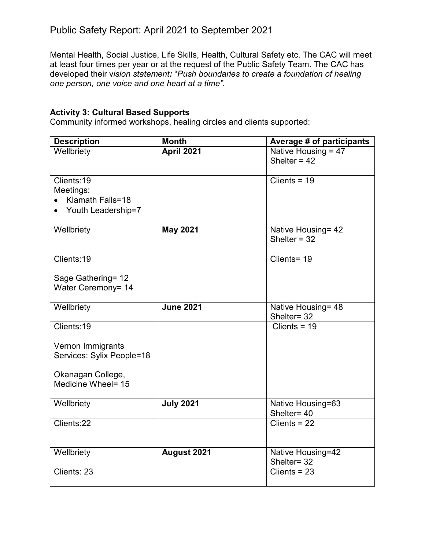Mental Health, Social Justice, Life Skills, Health, Cultural Safety etc. The CAC will meet at least four times per year or at the request of the Public Safety Team. The CAC has developed their v*ision statement:* "*Push boundaries to create a foundation of healing one person, one voice and one heart at a time".* 

# **Activity 3: Cultural Based Supports**

Community informed workshops, healing circles and clients supported:

| <b>Description</b>                             | <b>Month</b>     | <b>Average # of participants</b>        |
|------------------------------------------------|------------------|-----------------------------------------|
| Wellbriety                                     | April 2021       | Native Housing = $47$<br>Shelter = $42$ |
| Clients:19                                     |                  | Clients = $19$                          |
| Meetings:                                      |                  |                                         |
| Klamath Falls=18                               |                  |                                         |
| Youth Leadership=7                             |                  |                                         |
| Wellbriety                                     | <b>May 2021</b>  | Native Housing= 42                      |
|                                                |                  | Shelter = $32$                          |
|                                                |                  |                                         |
| Clients:19                                     |                  | Clients= 19                             |
| Sage Gathering= 12                             |                  |                                         |
| Water Ceremony= 14                             |                  |                                         |
|                                                |                  |                                         |
| Wellbriety                                     | <b>June 2021</b> | Native Housing= 48                      |
|                                                |                  | Shelter= 32                             |
| Clients:19                                     |                  | Clients = $19$                          |
|                                                |                  |                                         |
| Vernon Immigrants<br>Services: Sylix People=18 |                  |                                         |
|                                                |                  |                                         |
| Okanagan College,                              |                  |                                         |
| Medicine Wheel= 15                             |                  |                                         |
|                                                |                  |                                         |
| Wellbriety                                     | <b>July 2021</b> | Native Housing=63                       |
| Clients:22                                     |                  | Shelter= 40<br>$Clients = 22$           |
|                                                |                  |                                         |
|                                                |                  |                                         |
| Wellbriety                                     | August 2021      | Native Housing=42                       |
|                                                |                  | Shelter= 32                             |
| Clients: 23                                    |                  | Clients = $23$                          |
|                                                |                  |                                         |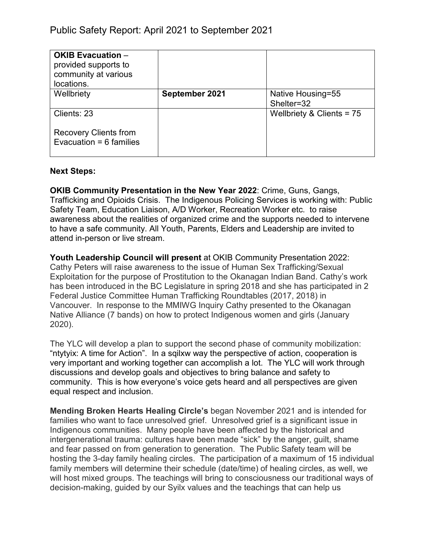| <b>OKIB Evacuation -</b><br>provided supports to<br>community at various<br>locations. |                |                                 |
|----------------------------------------------------------------------------------------|----------------|---------------------------------|
| Wellbriety                                                                             | September 2021 | Native Housing=55<br>Shelter=32 |
| Clients: 23                                                                            |                | Wellbriety & Clients = 75       |
| <b>Recovery Clients from</b><br>Evacuation = $6$ families                              |                |                                 |

### **Next Steps:**

**OKIB Community Presentation in the New Year 2022**: Crime, Guns, Gangs, Trafficking and Opioids Crisis. The Indigenous Policing Services is working with: Public Safety Team, Education Liaison, A/D Worker, Recreation Worker etc. to raise awareness about the realities of organized crime and the supports needed to intervene to have a safe community. All Youth, Parents, Elders and Leadership are invited to attend in-person or live stream.

**Youth Leadership Council will present** at OKIB Community Presentation 2022: Cathy Peters will raise awareness to the issue of Human Sex Trafficking/Sexual Exploitation for the purpose of Prostitution to the Okanagan Indian Band. Cathy's work has been introduced in the BC Legislature in spring 2018 and she has participated in 2 Federal Justice Committee Human Trafficking Roundtables (2017, 2018) in Vancouver. In response to the MMIWG Inquiry Cathy presented to the Okanagan Native Alliance (7 bands) on how to protect Indigenous women and girls (January 2020).

The YLC will develop a plan to support the second phase of community mobilization: "ntytyix: A time for Action". In a sqilxw way the perspective of action, cooperation is very important and working together can accomplish a lot. The YLC will work through discussions and develop goals and objectives to bring balance and safety to community. This is how everyone's voice gets heard and all perspectives are given equal respect and inclusion.

**Mending Broken Hearts Healing Circle's** began November 2021 and is intended for families who want to face unresolved grief. Unresolved grief is a significant issue in Indigenous communities. Many people have been affected by the historical and intergenerational trauma: cultures have been made "sick" by the anger, guilt, shame and fear passed on from generation to generation. The Public Safety team will be hosting the 3-day family healing circles. The participation of a maximum of 15 individual family members will determine their schedule (date/time) of healing circles, as well, we will host mixed groups. The teachings will bring to consciousness our traditional ways of decision-making, guided by our Syilx values and the teachings that can help us